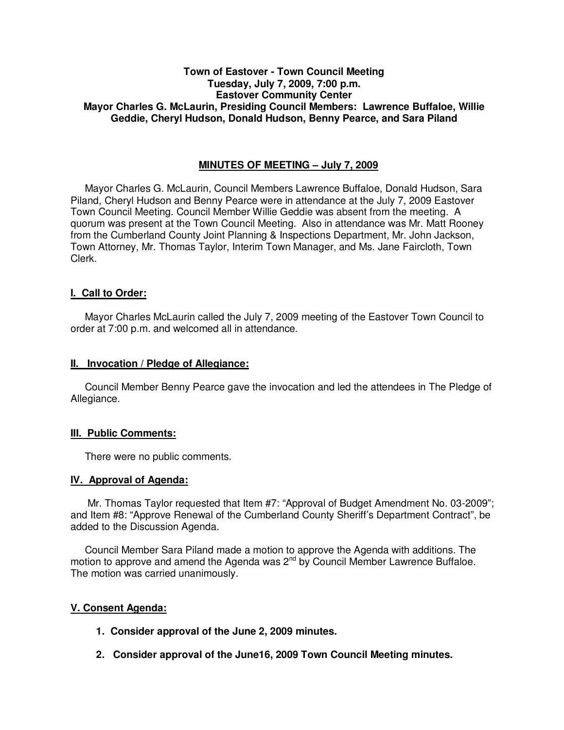# **Town of Eastover - Town Council Meeting Tuesday, July 7, 2009, 7:00 p.m. Eastover Community Center Mayor Charles G. McLaurin, Presiding Council Members: Lawrence Buffaloe, Willie Geddie, Cheryl Hudson, Donald Hudson, Benny Pearce, and Sara Piland**

# **MINUTES OF MEETING – July 7, 2009**

Mayor Charles G. McLaurin, Council Members Lawrence Buffaloe, Donald Hudson, Sara Piland, Cheryl Hudson and Benny Pearce were in attendance at the July 7, 2009 Eastover Town Council Meeting. Council Member Willie Geddie was absent from the meeting. A quorum was present at the Town Council Meeting. Also in attendance was Mr. Matt Rooney from the Cumberland County Joint Planning & Inspections Department, Mr. John Jackson, Town Attorney, Mr. Thomas Taylor, Interim Town Manager, and Ms. Jane Faircloth, Town Clerk.

# **I. Call to Order:**

Mayor Charles McLaurin called the July 7, 2009 meeting of the Eastover Town Council to order at 7:00 p.m. and welcomed all in attendance.

### **II. Invocation / Pledge of Allegiance:**

 Council Member Benny Pearce gave the invocation and led the attendees in The Pledge of Allegiance.

# **III. Public Comments:**

There were no public comments.

#### **IV. Approval of Agenda:**

 Mr. Thomas Taylor requested that Item #7: "Approval of Budget Amendment No. 03-2009"; and Item #8: "Approve Renewal of the Cumberland County Sheriff's Department Contract", be added to the Discussion Agenda.

 Council Member Sara Piland made a motion to approve the Agenda with additions. The motion to approve and amend the Agenda was 2<sup>nd</sup> by Council Member Lawrence Buffaloe. The motion was carried unanimously.

# **V. Consent Agenda:**

- **1. Consider approval of the June 2, 2009 minutes.**
- **2. Consider approval of the June16, 2009 Town Council Meeting minutes.**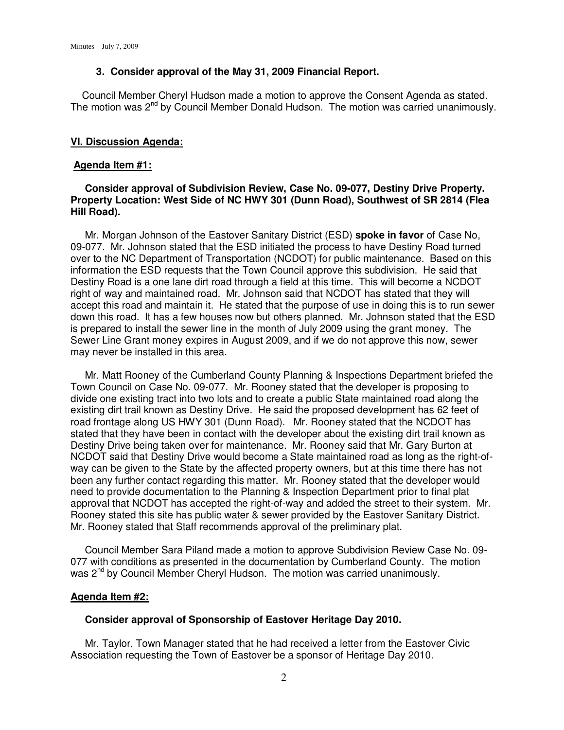### **3. Consider approval of the May 31, 2009 Financial Report.**

 Council Member Cheryl Hudson made a motion to approve the Consent Agenda as stated. The motion was 2nd by Council Member Donald Hudson. The motion was carried unanimously.

### **VI. Discussion Agenda:**

#### **Agenda Item #1:**

# **Consider approval of Subdivision Review, Case No. 09-077, Destiny Drive Property. Property Location: West Side of NC HWY 301 (Dunn Road), Southwest of SR 2814 (Flea Hill Road).**

 Mr. Morgan Johnson of the Eastover Sanitary District (ESD) **spoke in favor** of Case No, 09-077. Mr. Johnson stated that the ESD initiated the process to have Destiny Road turned over to the NC Department of Transportation (NCDOT) for public maintenance. Based on this information the ESD requests that the Town Council approve this subdivision. He said that Destiny Road is a one lane dirt road through a field at this time. This will become a NCDOT right of way and maintained road. Mr. Johnson said that NCDOT has stated that they will accept this road and maintain it. He stated that the purpose of use in doing this is to run sewer down this road. It has a few houses now but others planned. Mr. Johnson stated that the ESD is prepared to install the sewer line in the month of July 2009 using the grant money. The Sewer Line Grant money expires in August 2009, and if we do not approve this now, sewer may never be installed in this area.

 Mr. Matt Rooney of the Cumberland County Planning & Inspections Department briefed the Town Council on Case No. 09-077. Mr. Rooney stated that the developer is proposing to divide one existing tract into two lots and to create a public State maintained road along the existing dirt trail known as Destiny Drive. He said the proposed development has 62 feet of road frontage along US HWY 301 (Dunn Road). Mr. Rooney stated that the NCDOT has stated that they have been in contact with the developer about the existing dirt trail known as Destiny Drive being taken over for maintenance. Mr. Rooney said that Mr. Gary Burton at NCDOT said that Destiny Drive would become a State maintained road as long as the right-ofway can be given to the State by the affected property owners, but at this time there has not been any further contact regarding this matter. Mr. Rooney stated that the developer would need to provide documentation to the Planning & Inspection Department prior to final plat approval that NCDOT has accepted the right-of-way and added the street to their system. Mr. Rooney stated this site has public water & sewer provided by the Eastover Sanitary District. Mr. Rooney stated that Staff recommends approval of the preliminary plat.

 Council Member Sara Piland made a motion to approve Subdivision Review Case No. 09- 077 with conditions as presented in the documentation by Cumberland County. The motion was 2<sup>nd</sup> by Council Member Cheryl Hudson. The motion was carried unanimously.

#### **Agenda Item #2:**

### **Consider approval of Sponsorship of Eastover Heritage Day 2010.**

 Mr. Taylor, Town Manager stated that he had received a letter from the Eastover Civic Association requesting the Town of Eastover be a sponsor of Heritage Day 2010.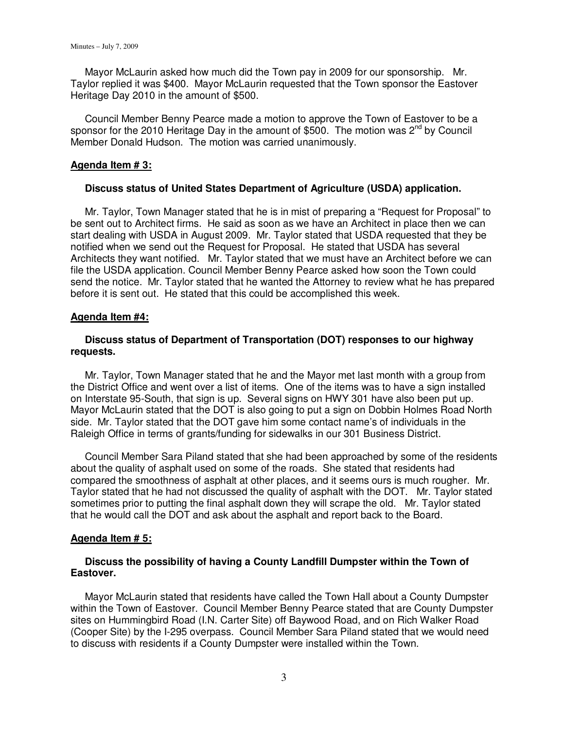Mayor McLaurin asked how much did the Town pay in 2009 for our sponsorship. Mr. Taylor replied it was \$400. Mayor McLaurin requested that the Town sponsor the Eastover Heritage Day 2010 in the amount of \$500.

 Council Member Benny Pearce made a motion to approve the Town of Eastover to be a sponsor for the 2010 Heritage Day in the amount of \$500. The motion was  $2^{nd}$  by Council Member Donald Hudson. The motion was carried unanimously.

### **Agenda Item # 3:**

### **Discuss status of United States Department of Agriculture (USDA) application.**

 Mr. Taylor, Town Manager stated that he is in mist of preparing a "Request for Proposal" to be sent out to Architect firms. He said as soon as we have an Architect in place then we can start dealing with USDA in August 2009. Mr. Taylor stated that USDA requested that they be notified when we send out the Request for Proposal. He stated that USDA has several Architects they want notified. Mr. Taylor stated that we must have an Architect before we can file the USDA application. Council Member Benny Pearce asked how soon the Town could send the notice. Mr. Taylor stated that he wanted the Attorney to review what he has prepared before it is sent out. He stated that this could be accomplished this week.

# **Agenda Item #4:**

# **Discuss status of Department of Transportation (DOT) responses to our highway requests.**

Mr. Taylor, Town Manager stated that he and the Mayor met last month with a group from the District Office and went over a list of items. One of the items was to have a sign installed on Interstate 95-South, that sign is up. Several signs on HWY 301 have also been put up. Mayor McLaurin stated that the DOT is also going to put a sign on Dobbin Holmes Road North side. Mr. Taylor stated that the DOT gave him some contact name's of individuals in the Raleigh Office in terms of grants/funding for sidewalks in our 301 Business District.

 Council Member Sara Piland stated that she had been approached by some of the residents about the quality of asphalt used on some of the roads. She stated that residents had compared the smoothness of asphalt at other places, and it seems ours is much rougher. Mr. Taylor stated that he had not discussed the quality of asphalt with the DOT. Mr. Taylor stated sometimes prior to putting the final asphalt down they will scrape the old. Mr. Taylor stated that he would call the DOT and ask about the asphalt and report back to the Board.

#### **Agenda Item # 5:**

# **Discuss the possibility of having a County Landfill Dumpster within the Town of Eastover.**

 Mayor McLaurin stated that residents have called the Town Hall about a County Dumpster within the Town of Eastover. Council Member Benny Pearce stated that are County Dumpster sites on Hummingbird Road (I.N. Carter Site) off Baywood Road, and on Rich Walker Road (Cooper Site) by the I-295 overpass. Council Member Sara Piland stated that we would need to discuss with residents if a County Dumpster were installed within the Town.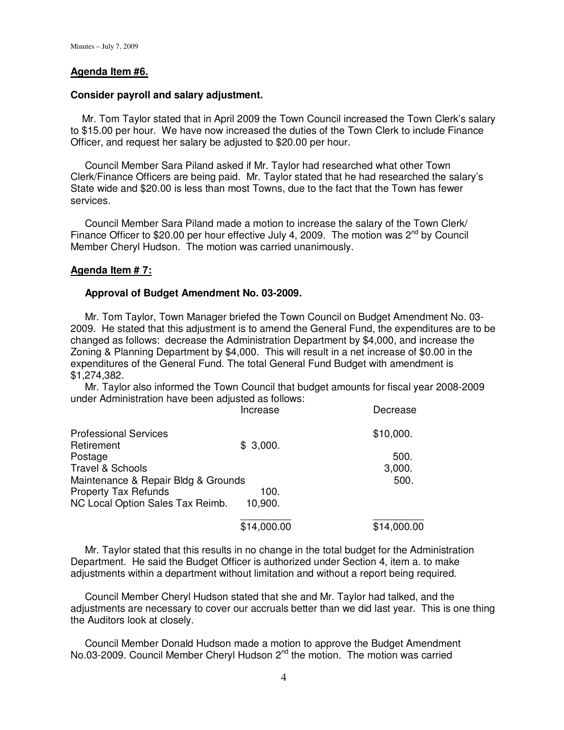### **Agenda Item #6.**

#### **Consider payroll and salary adjustment.**

 Mr. Tom Taylor stated that in April 2009 the Town Council increased the Town Clerk's salary to \$15.00 per hour. We have now increased the duties of the Town Clerk to include Finance Officer, and request her salary be adjusted to \$20.00 per hour.

 Council Member Sara Piland asked if Mr. Taylor had researched what other Town Clerk/Finance Officers are being paid. Mr. Taylor stated that he had researched the salary's State wide and \$20.00 is less than most Towns, due to the fact that the Town has fewer services.

 Council Member Sara Piland made a motion to increase the salary of the Town Clerk/ Finance Officer to \$20.00 per hour effective July 4, 2009. The motion was  $2^{nd}$  by Council Member Cheryl Hudson. The motion was carried unanimously.

# **Agenda Item # 7:**

### **Approval of Budget Amendment No. 03-2009.**

 Mr. Tom Taylor, Town Manager briefed the Town Council on Budget Amendment No. 03- 2009. He stated that this adjustment is to amend the General Fund, the expenditures are to be changed as follows: decrease the Administration Department by \$4,000, and increase the Zoning & Planning Department by \$4,000. This will result in a net increase of \$0.00 in the expenditures of the General Fund. The total General Fund Budget with amendment is \$1,274,382.

 Mr. Taylor also informed the Town Council that budget amounts for fiscal year 2008-2009 under Administration have been adjusted as follows:

|                                     | Increase    | Decrease    |
|-------------------------------------|-------------|-------------|
| <b>Professional Services</b>        |             | \$10,000.   |
| Retirement                          | \$3,000.    |             |
| Postage                             |             | 500.        |
| <b>Travel &amp; Schools</b>         |             | 3,000.      |
| Maintenance & Repair Bldg & Grounds |             | 500.        |
| <b>Property Tax Refunds</b>         | 100.        |             |
| NC Local Option Sales Tax Reimb.    | 10,900.     |             |
|                                     | \$14,000.00 | \$14,000.00 |

 Mr. Taylor stated that this results in no change in the total budget for the Administration Department. He said the Budget Officer is authorized under Section 4, item a. to make adjustments within a department without limitation and without a report being required.

 Council Member Cheryl Hudson stated that she and Mr. Taylor had talked, and the adjustments are necessary to cover our accruals better than we did last year. This is one thing the Auditors look at closely.

 Council Member Donald Hudson made a motion to approve the Budget Amendment No.03-2009. Council Member Cheryl Hudson 2<sup>nd</sup> the motion. The motion was carried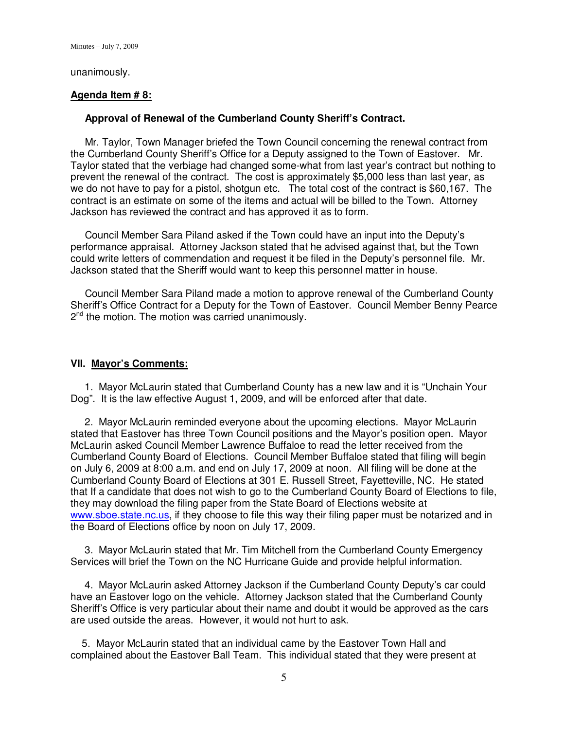Minutes – July 7, 2009

unanimously.

# **Agenda Item # 8:**

### **Approval of Renewal of the Cumberland County Sheriff's Contract.**

 Mr. Taylor, Town Manager briefed the Town Council concerning the renewal contract from the Cumberland County Sheriff's Office for a Deputy assigned to the Town of Eastover. Mr. Taylor stated that the verbiage had changed some-what from last year's contract but nothing to prevent the renewal of the contract. The cost is approximately \$5,000 less than last year, as we do not have to pay for a pistol, shotgun etc. The total cost of the contract is \$60,167. The contract is an estimate on some of the items and actual will be billed to the Town. Attorney Jackson has reviewed the contract and has approved it as to form.

 Council Member Sara Piland asked if the Town could have an input into the Deputy's performance appraisal. Attorney Jackson stated that he advised against that, but the Town could write letters of commendation and request it be filed in the Deputy's personnel file. Mr. Jackson stated that the Sheriff would want to keep this personnel matter in house.

 Council Member Sara Piland made a motion to approve renewal of the Cumberland County Sheriff's Office Contract for a Deputy for the Town of Eastover. Council Member Benny Pearce 2 nd the motion. The motion was carried unanimously.

#### **VII. Mayor's Comments:**

 1. Mayor McLaurin stated that Cumberland County has a new law and it is "Unchain Your Dog". It is the law effective August 1, 2009, and will be enforced after that date.

 2. Mayor McLaurin reminded everyone about the upcoming elections. Mayor McLaurin stated that Eastover has three Town Council positions and the Mayor's position open. Mayor McLaurin asked Council Member Lawrence Buffaloe to read the letter received from the Cumberland County Board of Elections. Council Member Buffaloe stated that filing will begin on July 6, 2009 at 8:00 a.m. and end on July 17, 2009 at noon. All filing will be done at the Cumberland County Board of Elections at 301 E. Russell Street, Fayetteville, NC. He stated that If a candidate that does not wish to go to the Cumberland County Board of Elections to file, they may download the filing paper from the State Board of Elections website at www.sboe.state.nc.us, if they choose to file this way their filing paper must be notarized and in the Board of Elections office by noon on July 17, 2009.

 3. Mayor McLaurin stated that Mr. Tim Mitchell from the Cumberland County Emergency Services will brief the Town on the NC Hurricane Guide and provide helpful information.

 4. Mayor McLaurin asked Attorney Jackson if the Cumberland County Deputy's car could have an Eastover logo on the vehicle. Attorney Jackson stated that the Cumberland County Sheriff's Office is very particular about their name and doubt it would be approved as the cars are used outside the areas. However, it would not hurt to ask.

 5. Mayor McLaurin stated that an individual came by the Eastover Town Hall and complained about the Eastover Ball Team. This individual stated that they were present at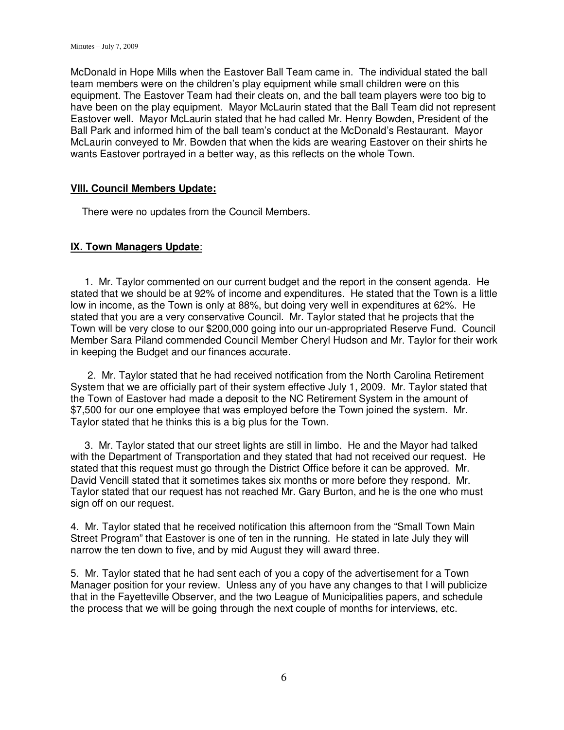McDonald in Hope Mills when the Eastover Ball Team came in. The individual stated the ball team members were on the children's play equipment while small children were on this equipment. The Eastover Team had their cleats on, and the ball team players were too big to have been on the play equipment. Mayor McLaurin stated that the Ball Team did not represent Eastover well. Mayor McLaurin stated that he had called Mr. Henry Bowden, President of the Ball Park and informed him of the ball team's conduct at the McDonald's Restaurant. Mayor McLaurin conveyed to Mr. Bowden that when the kids are wearing Eastover on their shirts he wants Eastover portrayed in a better way, as this reflects on the whole Town.

# **VIII. Council Members Update:**

There were no updates from the Council Members.

# **IX. Town Managers Update**:

 1. Mr. Taylor commented on our current budget and the report in the consent agenda. He stated that we should be at 92% of income and expenditures. He stated that the Town is a little low in income, as the Town is only at 88%, but doing very well in expenditures at 62%. He stated that you are a very conservative Council. Mr. Taylor stated that he projects that the Town will be very close to our \$200,000 going into our un-appropriated Reserve Fund. Council Member Sara Piland commended Council Member Cheryl Hudson and Mr. Taylor for their work in keeping the Budget and our finances accurate.

 2. Mr. Taylor stated that he had received notification from the North Carolina Retirement System that we are officially part of their system effective July 1, 2009. Mr. Taylor stated that the Town of Eastover had made a deposit to the NC Retirement System in the amount of \$7,500 for our one employee that was employed before the Town joined the system. Mr. Taylor stated that he thinks this is a big plus for the Town.

 3. Mr. Taylor stated that our street lights are still in limbo. He and the Mayor had talked with the Department of Transportation and they stated that had not received our request. He stated that this request must go through the District Office before it can be approved. Mr. David Vencill stated that it sometimes takes six months or more before they respond. Mr. Taylor stated that our request has not reached Mr. Gary Burton, and he is the one who must sign off on our request.

4. Mr. Taylor stated that he received notification this afternoon from the "Small Town Main Street Program" that Eastover is one of ten in the running. He stated in late July they will narrow the ten down to five, and by mid August they will award three.

5. Mr. Taylor stated that he had sent each of you a copy of the advertisement for a Town Manager position for your review. Unless any of you have any changes to that I will publicize that in the Fayetteville Observer, and the two League of Municipalities papers, and schedule the process that we will be going through the next couple of months for interviews, etc.